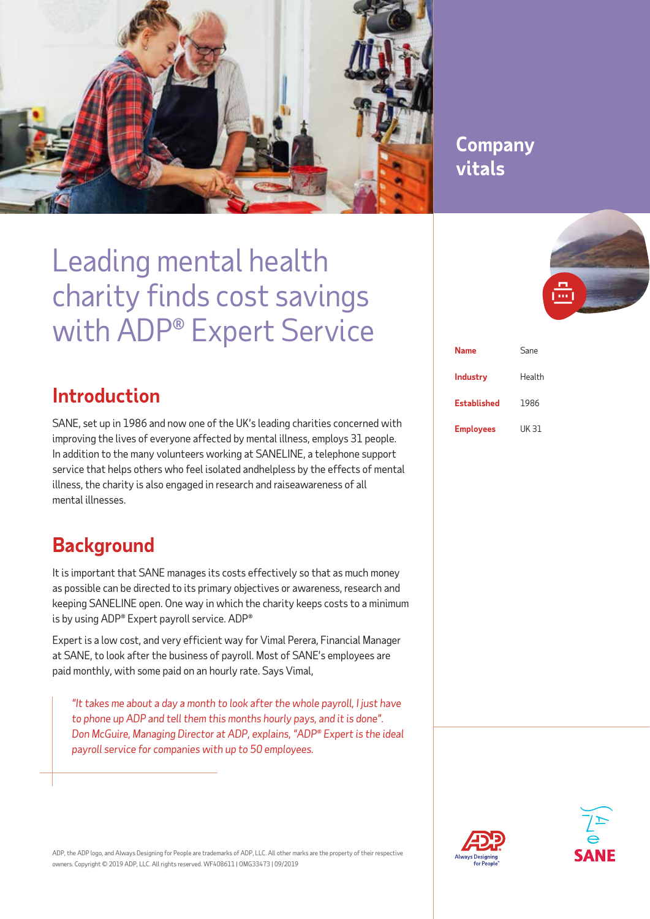

## **Company Company vitals vitals**

## Leading mental health charity finds cost savings with ADP® Expert Service

## **Introduction**

SANE, set up in 1986 and now one of the UK's leading charities concerned with improving the lives of everyone affected by mental illness, employs 31 people. In addition to the many volunteers working at SANELINE, a telephone support service that helps others who feel isolated andhelpless by the effects of mental illness, the charity is also engaged in research and raiseawareness of all mental illnesses.

## **Background**

It is important that SANE manages its costs effectively so that as much money as possible can be directed to its primary objectives or awareness, research and keeping SANELINE open. One way in which the charity keeps costs to a minimum is by using ADP® Expert payroll service. ADP®

Expert is a low cost, and very efficient way for Vimal Perera, Financial Manager at SANE, to look after the business of payroll. Most of SANE's employees are paid monthly, with some paid on an hourly rate. Says Vimal,

*"It takes me about a day a month to look after the whole payroll, I just have to phone up ADP and tell them this months hourly pays, and it is done". Don McGuire, Managing Director at ADP, explains, "ADP® Expert is the ideal payroll service for companies with up to 50 employees.* 



| <b>Name</b>        | Sane   |
|--------------------|--------|
| <b>Industry</b>    | Health |
| <b>Established</b> | 1986   |
| <b>Employees</b>   | UK 31  |





ADP, the ADP logo, and Always Designing for People are trademarks of ADP, LLC. All other marks are the property of their respective owners. Copyright © 2019 ADP, LLC. All rights reserved. WF408611 | OMG33473 | 09/2019